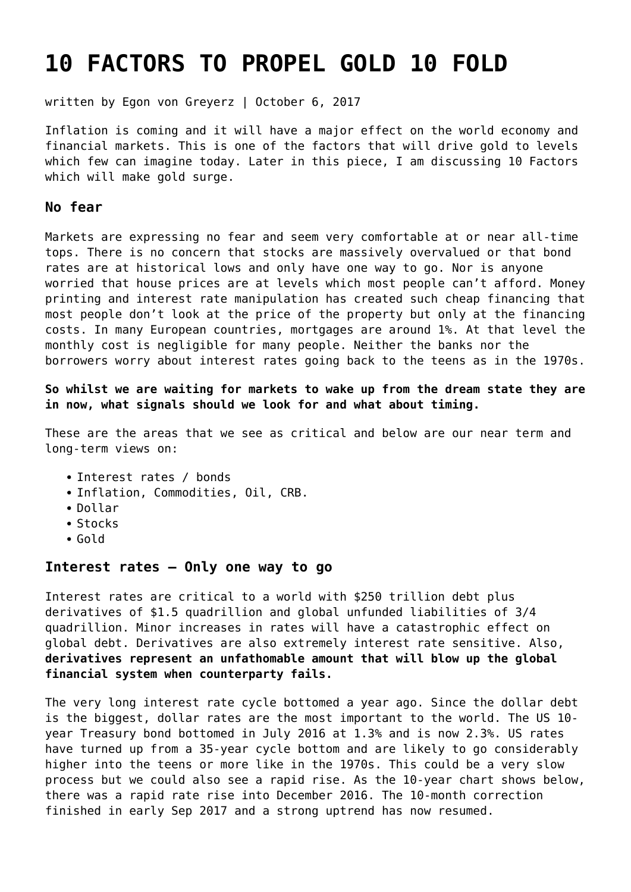# **[10 FACTORS TO PROPEL GOLD 10 FOLD](https://goldswitzerland.com/10-factors-to-propel-gold-10-fold/)**

written by Egon von Greyerz | October 6, 2017

Inflation is coming and it will have a major effect on the world economy and financial markets. This is one of the factors that will drive gold to levels which few can imagine today. Later in this piece, I am discussing 10 Factors which will make gold surge.

#### **No fear**

Markets are expressing no fear and seem very comfortable at or near all-time tops. There is no concern that stocks are massively overvalued or that bond rates are at historical lows and only have one way to go. Nor is anyone worried that house prices are at levels which most people can't afford. Money printing and interest rate manipulation has created such cheap financing that most people don't look at the price of the property but only at the financing costs. In many European countries, mortgages are around 1%. At that level the monthly cost is negligible for many people. Neither the banks nor the borrowers worry about interest rates going back to the teens as in the 1970s.

**So whilst we are waiting for markets to wake up from the dream state they are in now, what signals should we look for and what about timing.**

These are the areas that we see as critical and below are our near term and long-term views on:

- Interest rates / bonds
- Inflation, Commodities, Oil, CRB.
- Dollar
- Stocks
- Gold

## **Interest rates – Only one way to go**

Interest rates are critical to a world with \$250 trillion debt plus derivatives of \$1.5 quadrillion and global unfunded liabilities of 3/4 quadrillion. Minor increases in rates will have a catastrophic effect on global debt. Derivatives are also extremely interest rate sensitive. Also, **derivatives represent an unfathomable amount that will blow up the global financial system when counterparty fails.**

The very long interest rate cycle bottomed a year ago. Since the dollar debt is the biggest, dollar rates are the most important to the world. The US 10 year Treasury bond bottomed in July 2016 at 1.3% and is now 2.3%. US rates have turned up from a 35-year cycle bottom and are likely to go considerably higher into the teens or more like in the 1970s. This could be a very slow process but we could also see a rapid rise. As the 10-year chart shows below, there was a rapid rate rise into December 2016. The 10-month correction finished in early Sep 2017 and a strong uptrend has now resumed.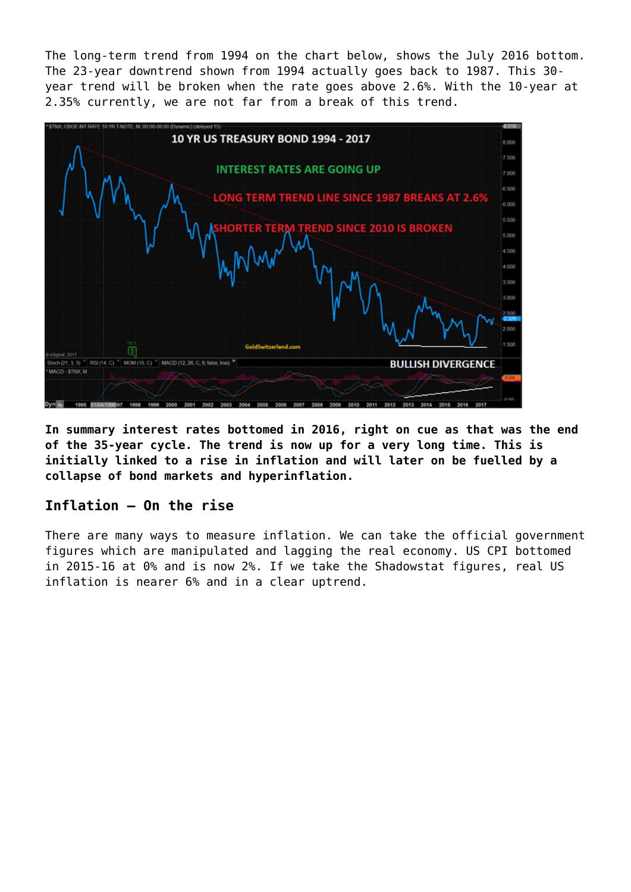The long-term trend from 1994 on the chart below, shows the July 2016 bottom. The 23-year downtrend shown from 1994 actually goes back to 1987. This 30 year trend will be broken when the rate goes above 2.6%. With the 10-year at 2.35% currently, we are not far from a break of this trend.



**In summary interest rates bottomed in 2016, right on cue as that was the end of the 35-year cycle. The trend is now up for a very long time. This is initially linked to a rise in inflation and will later on be fuelled by a collapse of bond markets and hyperinflation.**

# **Inflation – On the rise**

There are many ways to measure inflation. We can take the official government figures which are manipulated and lagging the real economy. US CPI bottomed in 2015-16 at 0% and is now 2%. If we take the Shadowstat figures, real US inflation is nearer 6% and in a clear uptrend.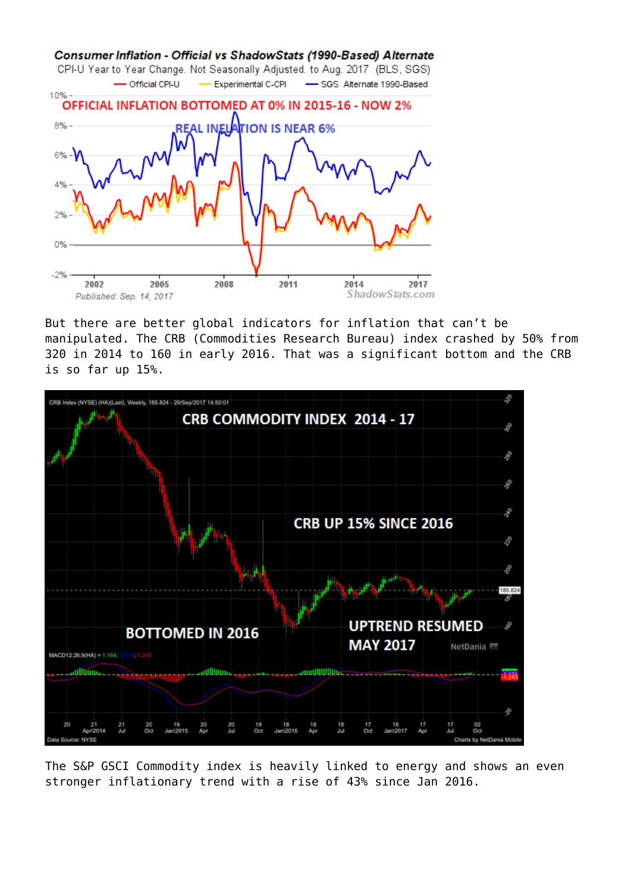

But there are better global indicators for inflation that can't be manipulated. The CRB (Commodities Research Bureau) index crashed by 50% from 320 in 2014 to 160 in early 2016. That was a significant bottom and the CRB is so far up 15%.



The S&P GSCI Commodity index is heavily linked to energy and shows an even stronger inflationary trend with a rise of 43% since Jan 2016.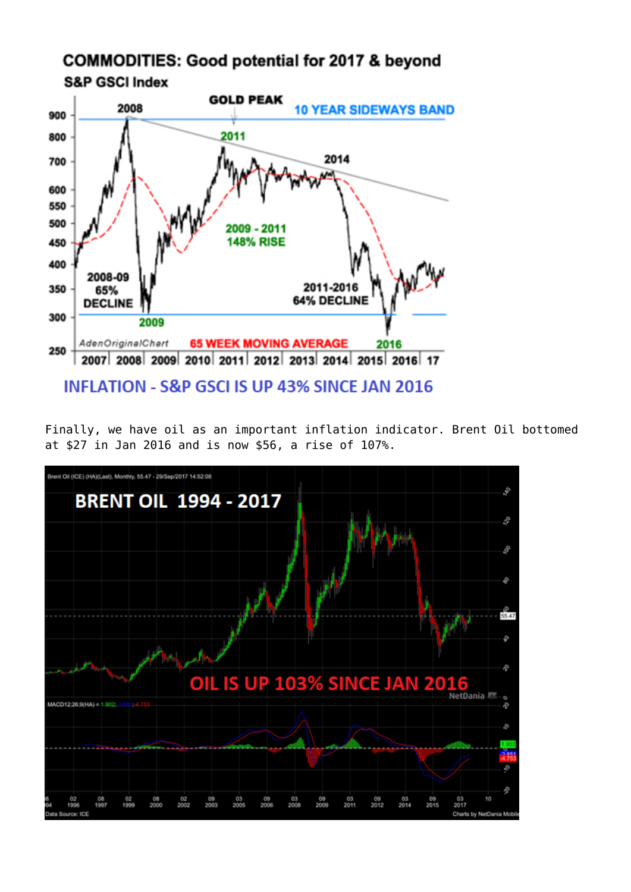

Finally, we have oil as an important inflation indicator. Brent Oil bottomed at \$27 in Jan 2016 and is now \$56, a rise of 107%.

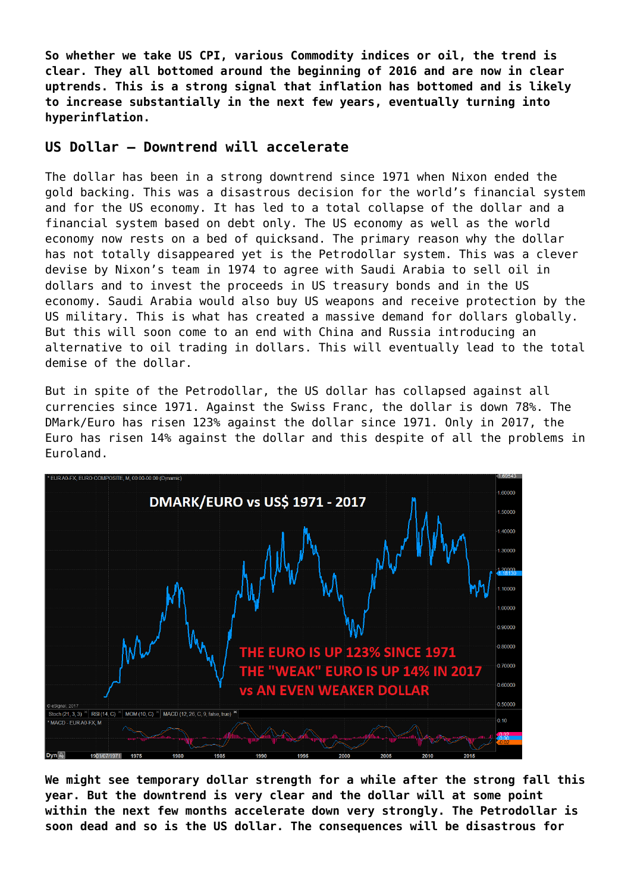**So whether we take US CPI, various Commodity indices or oil, the trend is clear. They all bottomed around the beginning of 2016 and are now in clear uptrends. This is a strong signal that inflation has bottomed and is likely to increase substantially in the next few years, eventually turning into hyperinflation.**

# **US Dollar – Downtrend will accelerate**

The dollar has been in a strong downtrend since 1971 when Nixon ended the gold backing. This was a disastrous decision for the world's financial system and for the US economy. It has led to a total collapse of the dollar and a financial system based on debt only. The US economy as well as the world economy now rests on a bed of quicksand. The primary reason why the dollar has not totally disappeared yet is the Petrodollar system. This was a clever devise by Nixon's team in 1974 to agree with Saudi Arabia to sell oil in dollars and to invest the proceeds in US treasury bonds and in the US economy. Saudi Arabia would also buy US weapons and receive protection by the US military. This is what has created a massive demand for dollars globally. But this will soon come to an end with China and Russia introducing an alternative to oil trading in dollars. This will eventually lead to the total demise of the dollar.

But in spite of the Petrodollar, the US dollar has collapsed against all currencies since 1971. Against the Swiss Franc, the dollar is down 78%. The DMark/Euro has risen 123% against the dollar since 1971. Only in 2017, the Euro has risen 14% against the dollar and this despite of all the problems in Euroland.



**We might see temporary dollar strength for a while after the strong fall this year. But the downtrend is very clear and the dollar will at some point within the next few months accelerate down very strongly. The Petrodollar is soon dead and so is the US dollar. The consequences will be disastrous for**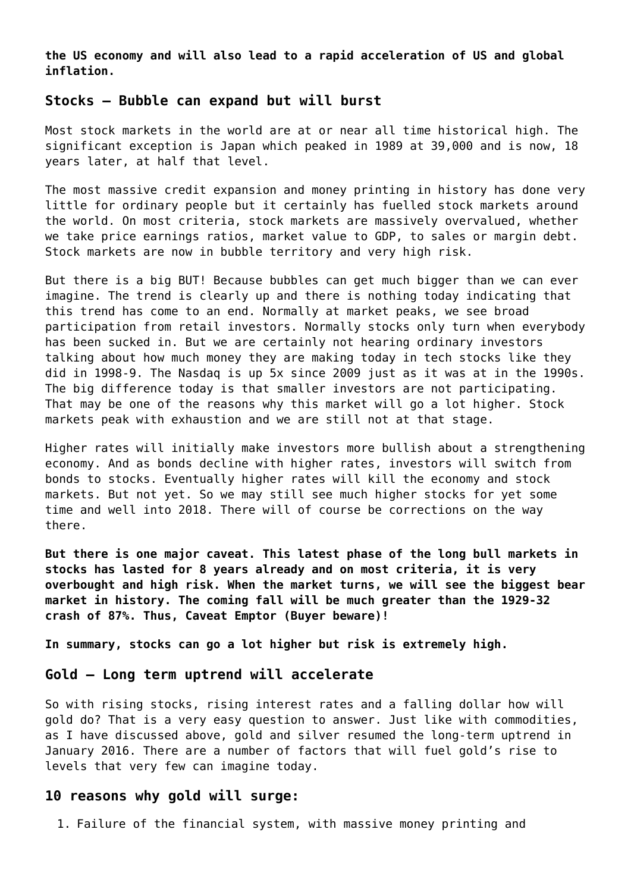**the US economy and will also lead to a rapid acceleration of US and global inflation.**

# **Stocks – Bubble can expand but will burst**

Most stock markets in the world are at or near all time historical high. The significant exception is Japan which peaked in 1989 at 39,000 and is now, 18 years later, at half that level.

The most massive credit expansion and money printing in history has done very little for ordinary people but it certainly has fuelled stock markets around the world. On most criteria, stock markets are massively overvalued, whether we take price earnings ratios, market value to GDP, to sales or margin debt. Stock markets are now in bubble territory and very high risk.

But there is a big BUT! Because bubbles can get much bigger than we can ever imagine. The trend is clearly up and there is nothing today indicating that this trend has come to an end. Normally at market peaks, we see broad participation from retail investors. Normally stocks only turn when everybody has been sucked in. But we are certainly not hearing ordinary investors talking about how much money they are making today in tech stocks like they did in 1998-9. The Nasdaq is up 5x since 2009 just as it was at in the 1990s. The big difference today is that smaller investors are not participating. That may be one of the reasons why this market will go a lot higher. Stock markets peak with exhaustion and we are still not at that stage.

Higher rates will initially make investors more bullish about a strengthening economy. And as bonds decline with higher rates, investors will switch from bonds to stocks. Eventually higher rates will kill the economy and stock markets. But not yet. So we may still see much higher stocks for yet some time and well into 2018. There will of course be corrections on the way there.

**But there is one major caveat. This latest phase of the long bull markets in stocks has lasted for 8 years already and on most criteria, it is very overbought and high risk. When the market turns, we will see the biggest bear market in history. The coming fall will be much greater than the 1929-32 crash of 87%. Thus, Caveat Emptor (Buyer beware)!**

**In summary, stocks can go a lot higher but risk is extremely high.**

#### **Gold – Long term uptrend will accelerate**

So with rising stocks, rising interest rates and a falling dollar how will gold do? That is a very easy question to answer. Just like with commodities, as I have discussed above, gold and silver resumed the long-term uptrend in January 2016. There are a number of factors that will fuel gold's rise to levels that very few can imagine today.

## **10 reasons why gold will surge:**

1. Failure of the financial system, with massive money printing and